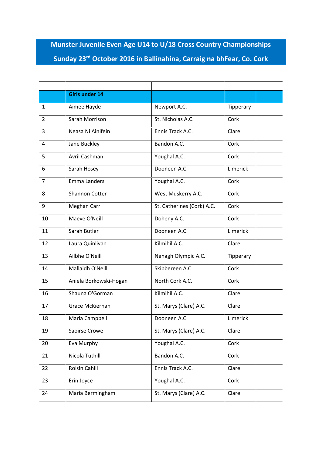**Munster Juvenile Even Age U14 to U/18 Cross Country Championships Sunday 23rd October 2016 in Ballinahina, Carraig na bhFear, Co. Cork**

|                | <b>Girls under 14</b>  |                            |           |
|----------------|------------------------|----------------------------|-----------|
| 1              | Aimee Hayde            | Newport A.C.               | Tipperary |
| $\overline{2}$ | Sarah Morrison         | St. Nicholas A.C.          | Cork      |
| 3              | Neasa Ni Ainifein      | Ennis Track A.C.           | Clare     |
| 4              | Jane Buckley           | Bandon A.C.                | Cork      |
| 5              | Avril Cashman          | Youghal A.C.               | Cork      |
| 6              | Sarah Hosey            | Dooneen A.C.               | Limerick  |
| $\overline{7}$ | Emma Landers           | Youghal A.C.               | Cork      |
| 8              | <b>Shannon Cotter</b>  | West Muskerry A.C.         | Cork      |
| 9              | Meghan Carr            | St. Catherines (Cork) A.C. | Cork      |
| 10             | Maeve O'Neill          | Doheny A.C.                | Cork      |
| 11             | Sarah Butler           | Dooneen A.C.               | Limerick  |
| 12             | Laura Quinlivan        | Kilmihil A.C.              | Clare     |
| 13             | Ailbhe O'Neill         | Nenagh Olympic A.C.        | Tipperary |
| 14             | Mallaidh O'Neill       | Skibbereen A.C.            | Cork      |
| 15             | Aniela Borkowski-Hogan | North Cork A.C.            | Cork      |
| 16             | Shauna O'Gorman        | Kilmihil A.C.              | Clare     |
| 17             | Grace McKiernan        | St. Marys (Clare) A.C.     | Clare     |
| 18             | Maria Campbell         | Dooneen A.C.               | Limerick  |
| 19             | Saoirse Crowe          | St. Marys (Clare) A.C.     | Clare     |
| 20             | Eva Murphy             | Youghal A.C.               | Cork      |
| 21             | Nicola Tuthill         | Bandon A.C.                | Cork      |
| 22             | Roisin Cahill          | Ennis Track A.C.           | Clare     |
| 23             | Erin Joyce             | Youghal A.C.               | Cork      |
| 24             | Maria Bermingham       | St. Marys (Clare) A.C.     | Clare     |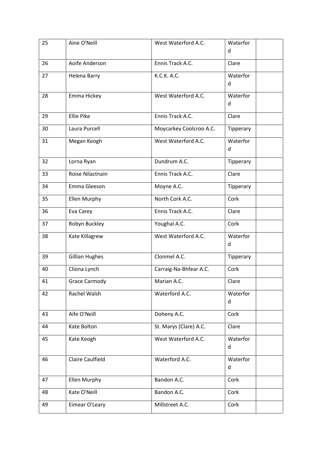| 25 | Aine O'Neill            | West Waterford A.C.     | Waterfor<br>d |
|----|-------------------------|-------------------------|---------------|
| 26 | Aoife Anderson          | Ennis Track A.C.        | Clare         |
| 27 | Helena Barry            | K.C.K. A.C.             | Waterfor<br>d |
| 28 | Emma Hickey             | West Waterford A.C.     | Waterfor<br>d |
| 29 | <b>Ellie Pike</b>       | Ennis Track A.C.        | Clare         |
| 30 | Laura Purcell           | Moycarkey Coolcroo A.C. | Tipperary     |
| 31 | Megan Keogh             | West Waterford A.C.     | Waterfor<br>d |
| 32 | Lorna Ryan              | Dundrum A.C.            | Tipperary     |
| 33 | Roise Nilactnain        | Ennis Track A.C.        | Clare         |
| 34 | Emma Gleeson            | Moyne A.C.              | Tipperary     |
| 35 | <b>Ellen Murphy</b>     | North Cork A.C.         | Cork          |
| 36 | Eva Carey               | Ennis Track A.C.        | Clare         |
| 37 | Robyn Buckley           | Youghal A.C.            | Cork          |
| 38 | Kate Killagrew          | West Waterford A.C.     | Waterfor<br>d |
| 39 | <b>Gillian Hughes</b>   | Clonmel A.C.            | Tipperary     |
| 40 | Cliona Lynch            | Carraig-Na-Bhfear A.C.  | Cork          |
| 41 | Grace Carmody           | Marian A.C.             | Clare         |
| 42 | Rachel Walsh            | Waterford A.C.          | Waterfor<br>d |
| 43 | Aife O'Neill            | Doheny A.C.             | Cork          |
| 44 | Kate Bolton             | St. Marys (Clare) A.C.  | Clare         |
| 45 | Kate Keogh              | West Waterford A.C.     | Waterfor<br>d |
| 46 | <b>Claire Caulfield</b> | Waterford A.C.          | Waterfor<br>d |
| 47 | <b>Ellen Murphy</b>     | Bandon A.C.             | Cork          |
| 48 | Kate O'Neill            | Bandon A.C.             | Cork          |
| 49 | Eimear O'Leary          | Millstreet A.C.         | Cork          |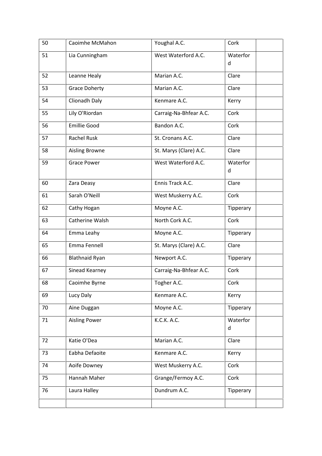| 50 | Caoimhe McMahon       | Youghal A.C.           | Cork          |
|----|-----------------------|------------------------|---------------|
| 51 | Lia Cunningham        | West Waterford A.C.    | Waterfor<br>d |
| 52 | Leanne Healy          | Marian A.C.            | Clare         |
| 53 | <b>Grace Doherty</b>  | Marian A.C.            | Clare         |
| 54 | Clionadh Daly         | Kenmare A.C.           | Kerry         |
| 55 | Lily O'Riordan        | Carraig-Na-Bhfear A.C. | Cork          |
| 56 | <b>Emillie Good</b>   | Bandon A.C.            | Cork          |
| 57 | <b>Rachel Rusk</b>    | St. Cronans A.C.       | Clare         |
| 58 | Aisling Browne        | St. Marys (Clare) A.C. | Clare         |
| 59 | <b>Grace Power</b>    | West Waterford A.C.    | Waterfor<br>d |
| 60 | Zara Deasy            | Ennis Track A.C.       | Clare         |
| 61 | Sarah O'Neill         | West Muskerry A.C.     | Cork          |
| 62 | Cathy Hogan           | Moyne A.C.             | Tipperary     |
| 63 | Catherine Walsh       | North Cork A.C.        | Cork          |
| 64 | Emma Leahy            | Moyne A.C.             | Tipperary     |
| 65 | Emma Fennell          | St. Marys (Clare) A.C. | Clare         |
| 66 | <b>Blathnaid Ryan</b> | Newport A.C.           | Tipperary     |
| 67 | Sinead Kearney        | Carraig-Na-Bhfear A.C. | Cork          |
| 68 | Caoimhe Byrne         | Togher A.C.            | Cork          |
| 69 | Lucy Daly             | Kenmare A.C.           | Kerry         |
| 70 | Aine Duggan           | Moyne A.C.             | Tipperary     |
| 71 | <b>Aisling Power</b>  | K.C.K. A.C.            | Waterfor<br>d |
| 72 | Katie O'Dea           | Marian A.C.            | Clare         |
| 73 | Eabha Defaoite        | Kenmare A.C.           | Kerry         |
| 74 | Aoife Downey          | West Muskerry A.C.     | Cork          |
| 75 | Hannah Maher          | Grange/Fermoy A.C.     | Cork          |
| 76 | Laura Halley          | Dundrum A.C.           | Tipperary     |
|    |                       |                        |               |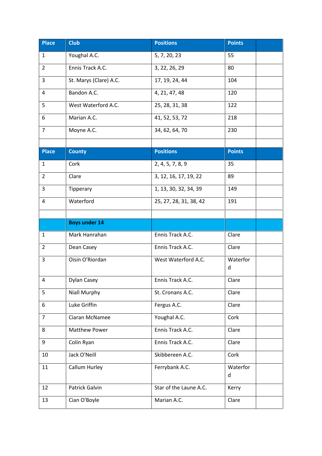| <b>Place</b>   | <b>Club</b>            | <b>Positions</b>       | <b>Points</b> |
|----------------|------------------------|------------------------|---------------|
| $\mathbf{1}$   | Youghal A.C.           | 5, 7, 20, 23           | 55            |
| $\overline{2}$ | Ennis Track A.C.       | 3, 22, 26, 29          | 80            |
| 3              | St. Marys (Clare) A.C. | 17, 19, 24, 44         | 104           |
| 4              | Bandon A.C.            | 4, 21, 47, 48          | 120           |
| 5              | West Waterford A.C.    | 25, 28, 31, 38         | 122           |
| 6              | Marian A.C.            | 41, 52, 53, 72         | 218           |
| $\overline{7}$ | Moyne A.C.             | 34, 62, 64, 70         | 230           |
|                |                        |                        |               |
| <b>Place</b>   | <b>County</b>          | <b>Positions</b>       | <b>Points</b> |
| 1              | Cork                   | 2, 4, 5, 7, 8, 9       | 35            |
| $\overline{2}$ | Clare                  | 3, 12, 16, 17, 19, 22  | 89            |
| 3              | Tipperary              | 1, 13, 30, 32, 34, 39  | 149           |
| 4              | Waterford              | 25, 27, 28, 31, 38, 42 | 191           |
|                |                        |                        |               |
|                | <b>Boys under 14</b>   |                        |               |
| $\mathbf{1}$   | Mark Hanrahan          | Ennis Track A.C.       | Clare         |
| $\overline{2}$ | Dean Casey             | Ennis Track A.C.       | Clare         |
| 3              | Oisin O'Riordan        | West Waterford A.C.    | Waterfor<br>d |
| 4              | Dylan Casey            | Ennis Track A.C.       | Clare         |
| 5              | Niall Murphy           | St. Cronans A.C.       | Clare         |
| 6              | Luke Griffin           | Fergus A.C.            | Clare         |
| $\overline{7}$ | Ciaran McNamee         | Youghal A.C.           | Cork          |
| 8              | Matthew Power          | Ennis Track A.C.       | Clare         |
| 9              | Colin Ryan             | Ennis Track A.C.       | Clare         |
| 10             | Jack O'Neill           | Skibbereen A.C.        | Cork          |
| 11             | Callum Hurley          | Ferrybank A.C.         | Waterfor<br>d |
| 12             | Patrick Galvin         | Star of the Laune A.C. | Kerry         |
| 13             | Cian O'Boyle           | Marian A.C.            | Clare         |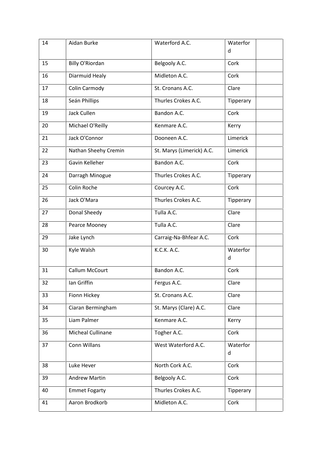| 14 | Aidan Burke          | Waterford A.C.            | Waterfor<br>d |
|----|----------------------|---------------------------|---------------|
| 15 | Billy O'Riordan      | Belgooly A.C.             | Cork          |
| 16 | Diarmuid Healy       | Midleton A.C.             | Cork          |
| 17 | Colin Carmody        | St. Cronans A.C.          | Clare         |
| 18 | Seán Phillips        | Thurles Crokes A.C.       | Tipperary     |
| 19 | Jack Cullen          | Bandon A.C.               | Cork          |
| 20 | Michael O'Reilly     | Kenmare A.C.              | Kerry         |
| 21 | Jack O'Connor        | Dooneen A.C.              | Limerick      |
| 22 | Nathan Sheehy Cremin | St. Marys (Limerick) A.C. | Limerick      |
| 23 | Gavin Kelleher       | Bandon A.C.               | Cork          |
| 24 | Darragh Minogue      | Thurles Crokes A.C.       | Tipperary     |
| 25 | Colin Roche          | Courcey A.C.              | Cork          |
| 26 | Jack O'Mara          | Thurles Crokes A.C.       | Tipperary     |
| 27 | Donal Sheedy         | Tulla A.C.                | Clare         |
| 28 | Pearce Mooney        | Tulla A.C.                | Clare         |
| 29 | Jake Lynch           | Carraig-Na-Bhfear A.C.    | Cork          |
| 30 | Kyle Walsh           | K.C.K. A.C.               | Waterfor<br>d |
| 31 | Callum McCourt       | Bandon A.C.               | Cork          |
| 32 | lan Griffin          | Fergus A.C.               | Clare         |
| 33 | Fionn Hickey         | St. Cronans A.C.          | Clare         |
| 34 | Ciaran Bermingham    | St. Marys (Clare) A.C.    | Clare         |
| 35 | Liam Palmer          | Kenmare A.C.              | Kerry         |
| 36 | Micheal Cullinane    | Togher A.C.               | Cork          |
| 37 | Conn Willans         | West Waterford A.C.       | Waterfor<br>d |
| 38 | Luke Hever           | North Cork A.C.           | Cork          |
| 39 | <b>Andrew Martin</b> | Belgooly A.C.             | Cork          |
| 40 | <b>Emmet Fogarty</b> | Thurles Crokes A.C.       | Tipperary     |
| 41 | Aaron Brodkorb       | Midleton A.C.             | Cork          |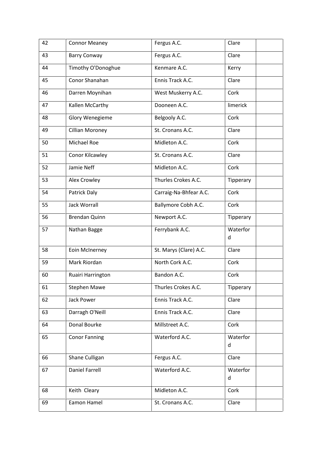| 42 | <b>Connor Meaney</b>   | Fergus A.C.            | Clare         |
|----|------------------------|------------------------|---------------|
| 43 | <b>Barry Conway</b>    | Fergus A.C.            | Clare         |
| 44 | Timothy O'Donoghue     | Kenmare A.C.           | Kerry         |
| 45 | Conor Shanahan         | Ennis Track A.C.       | Clare         |
| 46 | Darren Moynihan        | West Muskerry A.C.     | Cork          |
| 47 | Kallen McCarthy        | Dooneen A.C.           | limerick      |
| 48 | Glory Wenegieme        | Belgooly A.C.          | Cork          |
| 49 | <b>Cillian Moroney</b> | St. Cronans A.C.       | Clare         |
| 50 | Michael Roe            | Midleton A.C.          | Cork          |
| 51 | Conor Kilcawley        | St. Cronans A.C.       | Clare         |
| 52 | Jamie Neff             | Midleton A.C.          | Cork          |
| 53 | <b>Alex Crowley</b>    | Thurles Crokes A.C.    | Tipperary     |
| 54 | Patrick Daly           | Carraig-Na-Bhfear A.C. | Cork          |
| 55 | <b>Jack Worrall</b>    | Ballymore Cobh A.C.    | Cork          |
| 56 | <b>Brendan Quinn</b>   | Newport A.C.           | Tipperary     |
| 57 | Nathan Bagge           | Ferrybank A.C.         | Waterfor<br>d |
| 58 | Eoin McInerney         | St. Marys (Clare) A.C. | Clare         |
| 59 | Mark Riordan           | North Cork A.C.        | Cork          |
| 60 | Ruairi Harrington      | Bandon A.C.            | Cork          |
| 61 | <b>Stephen Mawe</b>    | Thurles Crokes A.C.    | Tipperary     |
| 62 | Jack Power             | Ennis Track A.C.       | Clare         |
| 63 | Darragh O'Neill        | Ennis Track A.C.       | Clare         |
| 64 | Donal Bourke           | Millstreet A.C.        | Cork          |
| 65 | <b>Conor Fanning</b>   | Waterford A.C.         | Waterfor<br>d |
| 66 | Shane Culligan         | Fergus A.C.            | Clare         |
| 67 | <b>Daniel Farrell</b>  | Waterford A.C.         | Waterfor<br>d |
| 68 | Keith Cleary           | Midleton A.C.          | Cork          |
| 69 | Eamon Hamel            | St. Cronans A.C.       | Clare         |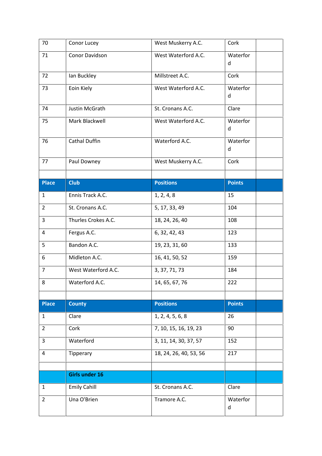| 70             | Conor Lucey           | West Muskerry A.C.     | Cork          |
|----------------|-----------------------|------------------------|---------------|
| 71             | Conor Davidson        | West Waterford A.C.    | Waterfor<br>d |
| 72             | Ian Buckley           | Millstreet A.C.        | Cork          |
| 73             | Eoin Kiely            | West Waterford A.C.    | Waterfor<br>d |
| 74             | Justin McGrath        | St. Cronans A.C.       | Clare         |
| 75             | Mark Blackwell        | West Waterford A.C.    | Waterfor<br>d |
| 76             | <b>Cathal Duffin</b>  | Waterford A.C.         | Waterfor<br>d |
| 77             | Paul Downey           | West Muskerry A.C.     | Cork          |
| <b>Place</b>   | <b>Club</b>           | <b>Positions</b>       | <b>Points</b> |
| $\mathbf{1}$   | Ennis Track A.C.      | 1, 2, 4, 8             | 15            |
| $\overline{2}$ | St. Cronans A.C.      | 5, 17, 33, 49          | 104           |
| 3              | Thurles Crokes A.C.   | 18, 24, 26, 40         | 108           |
| 4              | Fergus A.C.           | 6, 32, 42, 43          | 123           |
| 5              | Bandon A.C.           | 19, 23, 31, 60         | 133           |
| 6              | Midleton A.C.         | 16, 41, 50, 52         | 159           |
| $\overline{7}$ | West Waterford A.C.   | 3, 37, 71, 73          | 184           |
| 8              | Waterford A.C.        | 14, 65, 67, 76         | 222           |
| <b>Place</b>   | <b>County</b>         | <b>Positions</b>       | <b>Points</b> |
| $\mathbf{1}$   | Clare                 | 1, 2, 4, 5, 6, 8       | 26            |
| $\overline{2}$ | Cork                  | 7, 10, 15, 16, 19, 23  | 90            |
| 3              | Waterford             | 3, 11, 14, 30, 37, 57  | 152           |
| $\overline{4}$ | Tipperary             | 18, 24, 26, 40, 53, 56 | 217           |
|                |                       |                        |               |
|                | <b>Girls under 16</b> |                        |               |
| 1              | <b>Emily Cahill</b>   | St. Cronans A.C.       | Clare         |
| $\overline{2}$ | Una O'Brien           | Tramore A.C.           | Waterfor<br>d |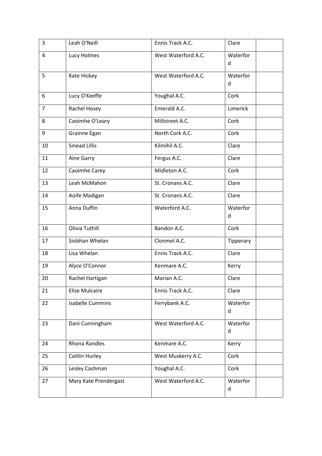| 3              | Leah O'Neill            | Ennis Track A.C.    | Clare         |
|----------------|-------------------------|---------------------|---------------|
| 4              | Lucy Holmes             | West Waterford A.C. | Waterfor<br>d |
| 5              | Kate Hickey             | West Waterford A.C. | Waterfor<br>d |
| 6              | Lucy O'Keeffe           | Youghal A.C.        | Cork          |
| $\overline{7}$ | Rachel Hosey            | Emerald A.C.        | Limerick      |
| 8              | Caoimhe O'Leary         | Millstreet A.C.     | Cork          |
| 9              | Grainne Egan            | North Cork A.C.     | Cork          |
| 10             | <b>Sinead Lillis</b>    | Kilmihil A.C.       | Clare         |
| 11             | Aine Garry              | Fergus A.C.         | Clare         |
| 12             | Caoimhe Carey           | Midleton A.C.       | Cork          |
| 13             | Leah McMahon            | St. Cronans A.C.    | Clare         |
| 14             | Aoife Madigan           | St. Cronans A.C.    | Clare         |
| 15             | Anna Duffin             | Waterford A.C.      | Waterfor<br>d |
| 16             | Olivia Tuthill          | Bandon A.C.         | Cork          |
| 17             | Siobhan Whelan          | Clonmel A.C.        | Tipperary     |
| 18             | Lisa Whelan             | Ennis Track A.C.    | Clare         |
| 19             | Alyce O'Connor          | Kenmare A.C.        | Kerry         |
| 20             | Rachel Hartigan         | Marian A.C.         | Clare         |
| 21             | <b>Elise Mulcaire</b>   | Ennis Track A.C.    | Clare         |
| 22             | <b>Isabelle Cummins</b> | Ferrybank A.C.      | Waterfor<br>d |
| 23             | Dani Cunningham         | West Waterford A.C. | Waterfor<br>d |
| 24             | <b>Rhona Randles</b>    | Kenmare A.C.        | Kerry         |
| 25             | Caitlin Hurley          | West Muskerry A.C.  | Cork          |
| 26             | Lesley Cashman          | Youghal A.C.        | Cork          |
| 27             | Mary Kate Prendergast   | West Waterford A.C. | Waterfor<br>d |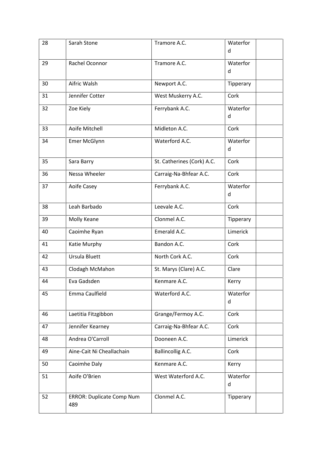| 28 | Sarah Stone                             | Tramore A.C.               | Waterfor<br>d |
|----|-----------------------------------------|----------------------------|---------------|
| 29 | Rachel Oconnor                          | Tramore A.C.               | Waterfor<br>d |
| 30 | Aifric Walsh                            | Newport A.C.               | Tipperary     |
| 31 | Jennifer Cotter                         | West Muskerry A.C.         | Cork          |
| 32 | Zoe Kiely                               | Ferrybank A.C.             | Waterfor<br>d |
| 33 | Aoife Mitchell                          | Midleton A.C.              | Cork          |
| 34 | Emer McGlynn                            | Waterford A.C.             | Waterfor<br>d |
| 35 | Sara Barry                              | St. Catherines (Cork) A.C. | Cork          |
| 36 | Nessa Wheeler                           | Carraig-Na-Bhfear A.C.     | Cork          |
| 37 | Aoife Casey                             | Ferrybank A.C.             | Waterfor<br>d |
| 38 | Leah Barbado                            | Leevale A.C.               | Cork          |
| 39 | Molly Keane                             | Clonmel A.C.               | Tipperary     |
| 40 | Caoimhe Ryan                            | Emerald A.C.               | Limerick      |
| 41 | Katie Murphy                            | Bandon A.C.                | Cork          |
| 42 | Ursula Bluett                           | North Cork A.C.            | Cork          |
| 43 | Clodagh McMahon                         | St. Marys (Clare) A.C.     | Clare         |
| 44 | Eva Gadsden                             | Kenmare A.C.               | Kerry         |
| 45 | Emma Caulfield                          | Waterford A.C.             | Waterfor<br>d |
| 46 | Laetitia Fitzgibbon                     | Grange/Fermoy A.C.         | Cork          |
| 47 | Jennifer Kearney                        | Carraig-Na-Bhfear A.C.     | Cork          |
| 48 | Andrea O'Carroll                        | Dooneen A.C.               | Limerick      |
| 49 | Aine-Cait Ni Cheallachain               | Ballincollig A.C.          | Cork          |
| 50 | Caoimhe Daly                            | Kenmare A.C.               | Kerry         |
| 51 | Aoife O'Brien                           | West Waterford A.C.        | Waterfor<br>d |
| 52 | <b>ERROR: Duplicate Comp Num</b><br>489 | Clonmel A.C.               | Tipperary     |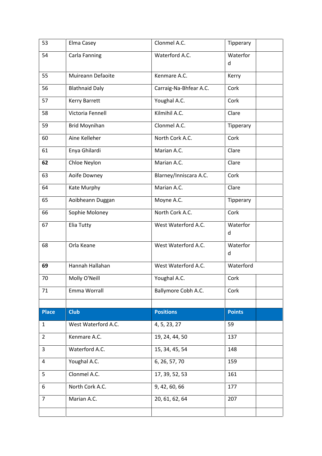| 53             | Elma Casey            | Clonmel A.C.           | Tipperary     |
|----------------|-----------------------|------------------------|---------------|
| 54             | Carla Fanning         | Waterford A.C.         | Waterfor      |
|                |                       |                        | d             |
| 55             | Muireann Defaoite     | Kenmare A.C.           | Kerry         |
| 56             | <b>Blathnaid Daly</b> | Carraig-Na-Bhfear A.C. | Cork          |
| 57             | <b>Kerry Barrett</b>  | Youghal A.C.           | Cork          |
| 58             | Victoria Fennell      | Kilmihil A.C.          | Clare         |
| 59             | <b>Brid Moynihan</b>  | Clonmel A.C.           | Tipperary     |
| 60             | Aine Kelleher         | North Cork A.C.        | Cork          |
| 61             | Enya Ghilardi         | Marian A.C.            | Clare         |
| 62             | Chloe Neylon          | Marian A.C.            | Clare         |
| 63             | Aoife Downey          | Blarney/Inniscara A.C. | Cork          |
| 64             | Kate Murphy           | Marian A.C.            | Clare         |
| 65             | Aoibheann Duggan      | Moyne A.C.             | Tipperary     |
| 66             | Sophie Moloney        | North Cork A.C.        | Cork          |
| 67             | Elia Tutty            | West Waterford A.C.    | Waterfor      |
|                |                       |                        | d             |
| 68             | Orla Keane            | West Waterford A.C.    | Waterfor<br>d |
| 69             | Hannah Hallahan       | West Waterford A.C.    | Waterford     |
| 70             | Molly O'Neill         | Youghal A.C.           | Cork          |
| 71             | Emma Worrall          | Ballymore Cobh A.C.    | Cork          |
|                |                       |                        |               |
| <b>Place</b>   | <b>Club</b>           | <b>Positions</b>       | <b>Points</b> |
| $\mathbf{1}$   | West Waterford A.C.   | 4, 5, 23, 27           | 59            |
| $\overline{2}$ | Kenmare A.C.          | 19, 24, 44, 50         | 137           |
| 3              | Waterford A.C.        | 15, 34, 45, 54         | 148           |
| 4              | Youghal A.C.          | 6, 26, 57, 70          | 159           |
| 5              | Clonmel A.C.          | 17, 39, 52, 53         | 161           |
| 6              | North Cork A.C.       | 9, 42, 60, 66          | 177           |
| $\overline{7}$ | Marian A.C.           | 20, 61, 62, 64         | 207           |
|                |                       |                        |               |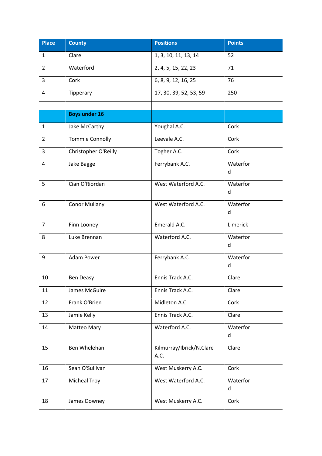| <b>Place</b>   | <b>County</b>          | <b>Positions</b>                 | <b>Points</b> |
|----------------|------------------------|----------------------------------|---------------|
| $\mathbf{1}$   | Clare                  | 1, 3, 10, 11, 13, 14             | 52            |
| $\overline{2}$ | Waterford              | 2, 4, 5, 15, 22, 23              | 71            |
| 3              | Cork                   | 6, 8, 9, 12, 16, 25              | 76            |
| 4              | Tipperary              | 17, 30, 39, 52, 53, 59           | 250           |
|                |                        |                                  |               |
|                | <b>Boys under 16</b>   |                                  |               |
| $\mathbf{1}$   | Jake McCarthy          | Youghal A.C.                     | Cork          |
| $\overline{2}$ | <b>Tommie Connolly</b> | Leevale A.C.                     | Cork          |
| 3              | Christopher O'Reilly   | Togher A.C.                      | Cork          |
| 4              | Jake Bagge             | Ferrybank A.C.                   | Waterfor<br>d |
| 5              | Cian O'Riordan         | West Waterford A.C.              | Waterfor<br>d |
| 6              | <b>Conor Mullany</b>   | West Waterford A.C.              | Waterfor<br>d |
| $\overline{7}$ | Finn Looney            | Emerald A.C.                     | Limerick      |
| 8              | Luke Brennan           | Waterford A.C.                   | Waterfor<br>d |
| 9              | Adam Power             | Ferrybank A.C.                   | Waterfor<br>d |
| 10             | Ben Deasy              | Ennis Track A.C.                 | Clare         |
| 11             | James McGuire          | Ennis Track A.C.                 | Clare         |
| 12             | Frank O'Brien          | Midleton A.C.                    | Cork          |
| 13             | Jamie Kelly            | Ennis Track A.C.                 | Clare         |
| 14             | Matteo Mary            | Waterford A.C.                   | Waterfor<br>d |
| 15             | Ben Whelehan           | Kilmurray/Ibrick/N.Clare<br>A.C. | Clare         |
| 16             | Sean O'Sullivan        | West Muskerry A.C.               | Cork          |
| 17             | <b>Micheal Troy</b>    | West Waterford A.C.              | Waterfor<br>d |
| 18             | James Downey           | West Muskerry A.C.               | Cork          |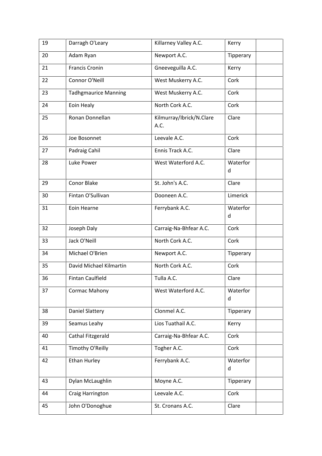| 19 | Darragh O'Leary             | Killarney Valley A.C.            | Kerry         |
|----|-----------------------------|----------------------------------|---------------|
| 20 | Adam Ryan                   | Newport A.C.                     | Tipperary     |
| 21 | <b>Francis Cronin</b>       | Gneeveguilla A.C.                | Kerry         |
| 22 | Connor O'Neill              | West Muskerry A.C.               | Cork          |
| 23 | <b>Tadhgmaurice Manning</b> | West Muskerry A.C.               | Cork          |
| 24 | Eoin Healy                  | North Cork A.C.                  | Cork          |
| 25 | Ronan Donnellan             | Kilmurray/Ibrick/N.Clare<br>A.C. | Clare         |
| 26 | Joe Bosonnet                | Leevale A.C.                     | Cork          |
| 27 | Padraig Cahil               | Ennis Track A.C.                 | Clare         |
| 28 | Luke Power                  | West Waterford A.C.              | Waterfor<br>d |
| 29 | <b>Conor Blake</b>          | St. John's A.C.                  | Clare         |
| 30 | Fintan O'Sullivan           | Dooneen A.C.                     | Limerick      |
| 31 | Eoin Hearne                 | Ferrybank A.C.                   | Waterfor<br>d |
| 32 | Joseph Daly                 | Carraig-Na-Bhfear A.C.           | Cork          |
| 33 | Jack O'Neill                | North Cork A.C.                  | Cork          |
| 34 | Michael O'Brien             | Newport A.C.                     | Tipperary     |
| 35 | David Michael Kilmartin     | North Cork A.C.                  | Cork          |
| 36 | <b>Fintan Caulfield</b>     | Tulla A.C.                       | Clare         |
| 37 | <b>Cormac Mahony</b>        | West Waterford A.C.              | Waterfor<br>d |
| 38 | <b>Daniel Slattery</b>      | Clonmel A.C.                     | Tipperary     |
| 39 | Seamus Leahy                | Lios Tuathail A.C.               | Kerry         |
| 40 | Cathal Fitzgerald           | Carraig-Na-Bhfear A.C.           | Cork          |
| 41 | Timothy O'Reilly            | Togher A.C.                      | Cork          |
| 42 | <b>Ethan Hurley</b>         | Ferrybank A.C.                   | Waterfor<br>d |
| 43 | Dylan McLaughlin            | Moyne A.C.                       | Tipperary     |
| 44 | Craig Harrington            | Leevale A.C.                     | Cork          |
| 45 | John O'Donoghue             | St. Cronans A.C.                 | Clare         |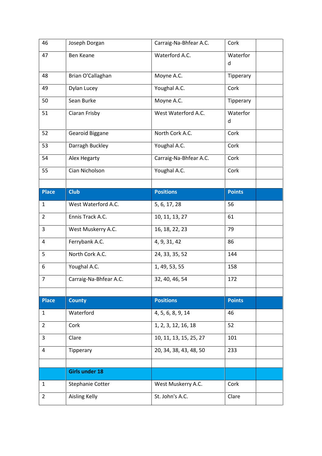| 46             | Joseph Dorgan           | Carraig-Na-Bhfear A.C. | Cork          |
|----------------|-------------------------|------------------------|---------------|
| 47             | <b>Ben Keane</b>        | Waterford A.C.         | Waterfor<br>d |
| 48             | Brian O'Callaghan       | Moyne A.C.             | Tipperary     |
| 49             | Dylan Lucey             | Youghal A.C.           | Cork          |
| 50             | Sean Burke              | Moyne A.C.             | Tipperary     |
| 51             | Ciaran Frisby           | West Waterford A.C.    | Waterfor<br>d |
| 52             | Gearoid Biggane         | North Cork A.C.        | Cork          |
| 53             | Darragh Buckley         | Youghal A.C.           | Cork          |
| 54             | Alex Hegarty            | Carraig-Na-Bhfear A.C. | Cork          |
| 55             | Cian Nicholson          | Youghal A.C.           | Cork          |
|                |                         |                        |               |
| <b>Place</b>   | <b>Club</b>             | <b>Positions</b>       | <b>Points</b> |
| $\mathbf{1}$   | West Waterford A.C.     | 5, 6, 17, 28           | 56            |
| $\overline{2}$ | Ennis Track A.C.        | 10, 11, 13, 27         | 61            |
| 3              | West Muskerry A.C.      | 16, 18, 22, 23         | 79            |
| 4              | Ferrybank A.C.          | 4, 9, 31, 42           | 86            |
| 5              | North Cork A.C.         | 24, 33, 35, 52         | 144           |
| 6              | Youghal A.C.            | 1, 49, 53, 55          | 158           |
| $\overline{7}$ | Carraig-Na-Bhfear A.C.  | 32, 40, 46, 54         | 172           |
|                |                         |                        |               |
| <b>Place</b>   | <b>County</b>           | <b>Positions</b>       | <b>Points</b> |
| 1              | Waterford               | 4, 5, 6, 8, 9, 14      | 46            |
| $\overline{2}$ | Cork                    | 1, 2, 3, 12, 16, 18    | 52            |
| 3              | Clare                   | 10, 11, 13, 15, 25, 27 | 101           |
| 4              | Tipperary               | 20, 34, 38, 43, 48, 50 | 233           |
|                |                         |                        |               |
|                | <b>Girls under 18</b>   |                        |               |
| 1              |                         |                        |               |
|                | <b>Stephanie Cotter</b> | West Muskerry A.C.     | Cork          |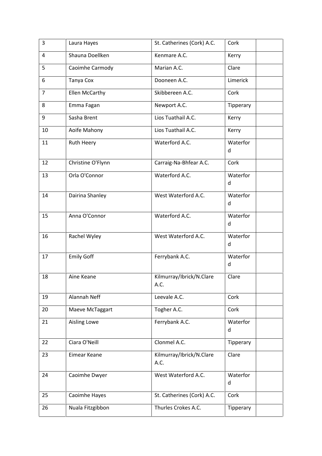| 3              | Laura Hayes           | St. Catherines (Cork) A.C.       | Cork          |
|----------------|-----------------------|----------------------------------|---------------|
| $\overline{4}$ | Shauna Doellken       | Kenmare A.C.                     | Kerry         |
| 5              | Caoimhe Carmody       | Marian A.C.                      | Clare         |
| 6              | Tanya Cox             | Dooneen A.C.                     | Limerick      |
| $\overline{7}$ | <b>Ellen McCarthy</b> | Skibbereen A.C.                  | Cork          |
| 8              | Emma Fagan            | Newport A.C.                     | Tipperary     |
| 9              | Sasha Brent           | Lios Tuathail A.C.               | Kerry         |
| 10             | Aoife Mahony          | Lios Tuathail A.C.               | Kerry         |
| 11             | Ruth Heery            | Waterford A.C.                   | Waterfor<br>d |
| 12             | Christine O'Flynn     | Carraig-Na-Bhfear A.C.           | Cork          |
| 13             | Orla O'Connor         | Waterford A.C.                   | Waterfor<br>d |
| 14             | Dairina Shanley       | West Waterford A.C.              | Waterfor<br>d |
| 15             | Anna O'Connor         | Waterford A.C.                   | Waterfor<br>d |
| 16             | Rachel Wyley          | West Waterford A.C.              | Waterfor<br>d |
| 17             | <b>Emily Goff</b>     | Ferrybank A.C.                   | Waterfor<br>d |
| 18             | Aine Keane            | Kilmurray/Ibrick/N.Clare<br>A.C. | Clare         |
| 19             | Alannah Neff          | Leevale A.C.                     | Cork          |
| 20             | Maeve McTaggart       | Togher A.C.                      | Cork          |
| 21             | <b>Aisling Lowe</b>   | Ferrybank A.C.                   | Waterfor<br>d |
| 22             | Ciara O'Neill         | Clonmel A.C.                     | Tipperary     |
| 23             | Eimear Keane          | Kilmurray/Ibrick/N.Clare<br>A.C. | Clare         |
| 24             | Caoimhe Dwyer         | West Waterford A.C.              | Waterfor<br>d |
| 25             | Caoimhe Hayes         | St. Catherines (Cork) A.C.       | Cork          |
| 26             | Nuala Fitzgibbon      | Thurles Crokes A.C.              | Tipperary     |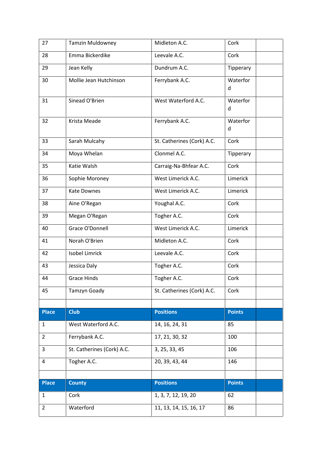| 27             | <b>Tamzin Muldowney</b>    | Midleton A.C.              | Cork          |
|----------------|----------------------------|----------------------------|---------------|
| 28             | Emma Bickerdike            | Leevale A.C.               | Cork          |
| 29             | Jean Kelly                 | Dundrum A.C.               | Tipperary     |
| 30             | Mollie Jean Hutchinson     | Ferrybank A.C.             | Waterfor      |
|                |                            |                            | d             |
| 31             | Sinead O'Brien             | West Waterford A.C.        | Waterfor<br>d |
| 32             | Krista Meade               | Ferrybank A.C.             | Waterfor      |
|                |                            |                            | d             |
| 33             | Sarah Mulcahy              | St. Catherines (Cork) A.C. | Cork          |
| 34             | Moya Whelan                | Clonmel A.C.               | Tipperary     |
| 35             | Katie Walsh                | Carraig-Na-Bhfear A.C.     | Cork          |
| 36             | Sophie Moroney             | West Limerick A.C.         | Limerick      |
| 37             | <b>Kate Downes</b>         | West Limerick A.C.         | Limerick      |
| 38             | Aine O'Regan               | Youghal A.C.               | Cork          |
| 39             | Megan O'Regan              | Togher A.C.                | Cork          |
| 40             | Grace O'Donnell            | West Limerick A.C.         | Limerick      |
| 41             | Norah O'Brien              | Midleton A.C.              | Cork          |
| 42             | <b>Isobel Limrick</b>      | Leevale A.C.               | Cork          |
| 43             | Jessica Daly               | Togher A.C.                | Cork          |
| 44             | <b>Grace Hinds</b>         | Togher A.C.                | Cork          |
| 45             | <b>Tamzyn Goady</b>        | St. Catherines (Cork) A.C. | Cork          |
|                |                            |                            |               |
| <b>Place</b>   | <b>Club</b>                | <b>Positions</b>           | <b>Points</b> |
| 1              | West Waterford A.C.        | 14, 16, 24, 31             | 85            |
| $\overline{2}$ | Ferrybank A.C.             | 17, 21, 30, 32             | 100           |
| 3              | St. Catherines (Cork) A.C. | 3, 25, 33, 45              | 106           |
| 4              | Togher A.C.                | 20, 39, 43, 44             | 146           |
|                |                            |                            |               |
| <b>Place</b>   | <b>County</b>              | <b>Positions</b>           | <b>Points</b> |
| $\mathbf{1}$   | Cork                       | 1, 3, 7, 12, 19, 20        | 62            |
| $\overline{2}$ | Waterford                  | 11, 13, 14, 15, 16, 17     | 86            |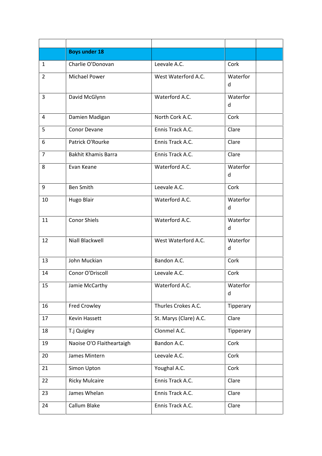|    | <b>Boys under 18</b>       |                        |               |
|----|----------------------------|------------------------|---------------|
| 1  | Charlie O'Donovan          | Leevale A.C.           | Cork          |
| 2  | <b>Michael Power</b>       | West Waterford A.C.    | Waterfor<br>d |
| 3  | David McGlynn              | Waterford A.C.         | Waterfor<br>d |
| 4  | Damien Madigan             | North Cork A.C.        | Cork          |
| 5  | Conor Devane               | Ennis Track A.C.       | Clare         |
| 6  | Patrick O'Rourke           | Ennis Track A.C.       | Clare         |
| 7  | <b>Bakhit Khamis Barra</b> | Ennis Track A.C.       | Clare         |
| 8  | Evan Keane                 | Waterford A.C.         | Waterfor<br>d |
| 9  | <b>Ben Smith</b>           | Leevale A.C.           | Cork          |
| 10 | <b>Hugo Blair</b>          | Waterford A.C.         | Waterfor<br>d |
| 11 | <b>Conor Shiels</b>        | Waterford A.C.         | Waterfor<br>d |
| 12 | Niall Blackwell            | West Waterford A.C.    | Waterfor<br>d |
| 13 | John Muckian               | Bandon A.C.            | Cork          |
| 14 | Conor O'Driscoll           | Leevale A.C.           | Cork          |
| 15 | Jamie McCarthy             | Waterford A.C.         | Waterfor<br>d |
| 16 | <b>Fred Crowley</b>        | Thurles Crokes A.C.    | Tipperary     |
| 17 | Kevin Hassett              | St. Marys (Clare) A.C. | Clare         |
| 18 | T.j Quigley                | Clonmel A.C.           | Tipperary     |
| 19 | Naoise O'O Flaitheartaigh  | Bandon A.C.            | Cork          |
| 20 | James Mintern              | Leevale A.C.           | Cork          |
| 21 | Simon Upton                | Youghal A.C.           | Cork          |
| 22 | <b>Ricky Mulcaire</b>      | Ennis Track A.C.       | Clare         |
| 23 | James Whelan               | Ennis Track A.C.       | Clare         |
| 24 | Callum Blake               | Ennis Track A.C.       | Clare         |